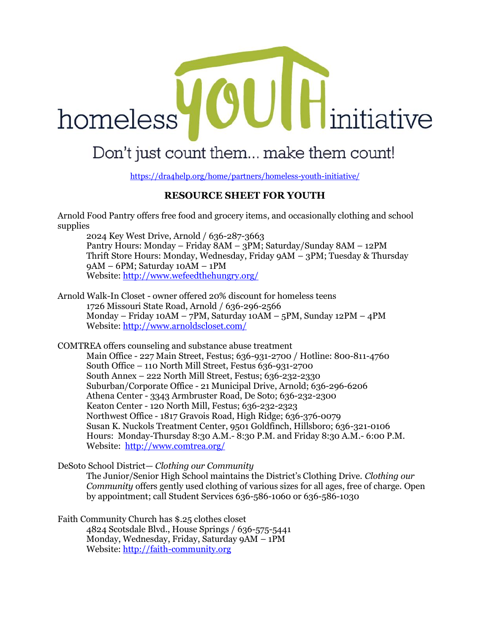## OUI initiative homeless

## Don't just count them... make them count!

https://dra4help.org/home/partners/homeless-youth-initiative/

## **RESOURCE SHEET FOR YOUTH**

Arnold Food Pantry offers free food and grocery items, and occasionally clothing and school supplies

2024 Key West Drive, Arnold / 636-287-3663 Pantry Hours: Monday – Friday 8AM – 3PM; Saturday/Sunday 8AM – 12PM Thrift Store Hours: Monday, Wednesday, Friday 9AM – 3PM; Tuesday & Thursday 9AM – 6PM; Saturday 10AM – 1PM Website: <http://www.wefeedthehungry.org/>

Arnold Walk-In Closet - owner offered 20% discount for homeless teens 1726 Missouri State Road, Arnold / 636-296-2566 Monday – Friday 10AM – 7PM, Saturday 10AM – 5PM, Sunday 12PM – 4PM Website: <http://www.arnoldscloset.com/>

COMTREA offers counseling and substance abuse treatment

Main Office - 227 Main Street, Festus; 636-931-2700 / Hotline: 800-811-4760 South Office – 110 North Mill Street, Festus 636-931-2700 South Annex – 222 North Mill Street, Festus; 636-232-2330 Suburban/Corporate Office - 21 Municipal Drive, Arnold; 636-296-6206 Athena Center - 3343 Armbruster Road, De Soto; 636-232-2300 Keaton Center - 120 North Mill, Festus; 636-232-2323 Northwest Office - 1817 Gravois Road, High Ridge; 636-376-0079 Susan K. Nuckols Treatment Center, 9501 Goldfinch, Hillsboro; 636-321-0106 Hours: Monday-Thursday 8:30 A.M.- 8:30 P.M. and Friday 8:30 A.M.- 6:00 P.M. Website: <http://www.comtrea.org/>

DeSoto School District— *Clothing our Community*

The Junior/Senior High School maintains the District's Clothing Drive. *Clothing our Community* offers gently used clothing of various sizes for all ages, free of charge. Open by appointment; call Student Services 636-586-1060 or 636-586-1030

Faith Community Church has \$.25 clothes closet

4824 Scotsdale Blvd., House Springs / 636-575-5441 Monday, Wednesday, Friday, Saturday 9AM – 1PM Website[: http://faith-community.org](http://faith-community.org/)